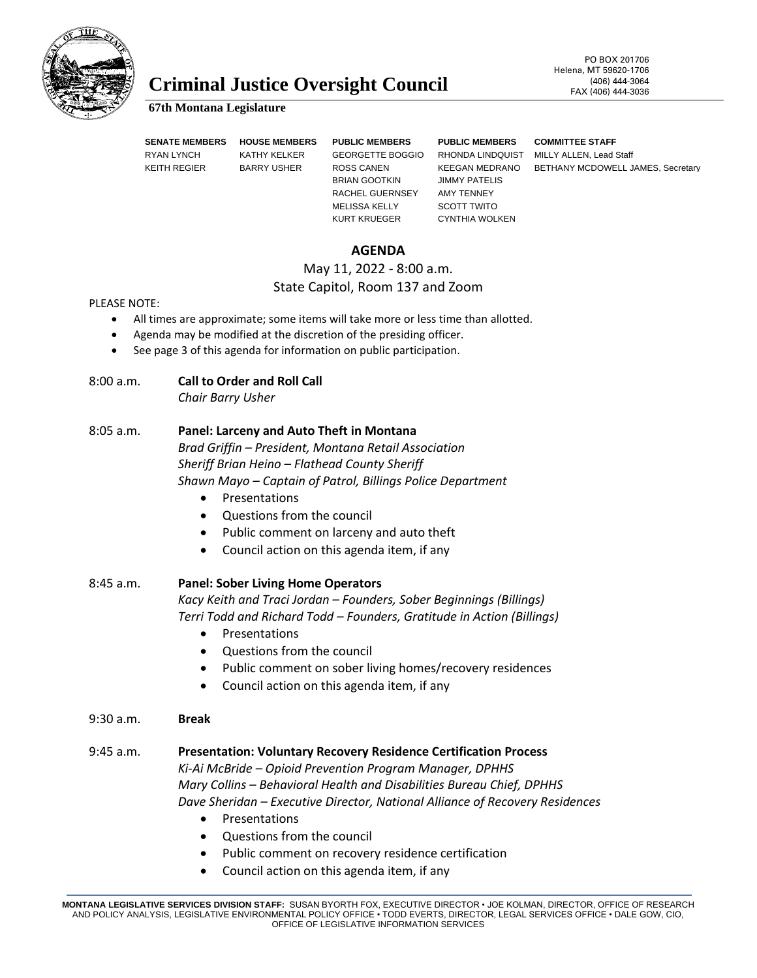

# **Criminal Justice Oversight Council** FAX (406) 444-3064

# PO BOX 201706 Helena, MT 59620-1706

#### **67th Montana Legislature**

**SENATE MEMBERS HOUSE MEMBERS PUBLIC MEMBERS PUBLIC MEMBERS COMMITTEE STAFF** RYAN LYNCH KATHY KELKER GEORGETTE BOGGIO RHONDA LINDQUIST MILLY ALLEN, Lead Staff BRIAN GOOTKIN JIMMY PATELIS RACHEL GUERNSEY AMY TENNEY MELISSA KELLY SCOTT TWITO KURT KRUEGER CYNTHIA WOLKEN

KEITH REGIER BARRY USHER ROSS CANEN KEEGAN MEDRANO BETHANY MCDOWELL JAMES, Secretary

# **AGENDA**

# May 11, 2022 - 8:00 a.m.

# State Capitol, Room 137 and Zoom

#### PLEASE NOTE:

- All times are approximate; some items will take more or less time than allotted.
- Agenda may be modified at the discretion of the presiding officer.
- See page 3 of this agenda for information on public participation.

## 8:00 a.m. **Call to Order and Roll Call**

*Chair Barry Usher*

### 8:05 a.m. **Panel: Larceny and Auto Theft in Montana**

*Brad Griffin – President, Montana Retail Association Sheriff Brian Heino – Flathead County Sheriff Shawn Mayo – Captain of Patrol, Billings Police Department*

- Presentations
- Questions from the council
- Public comment on larceny and auto theft
- Council action on this agenda item, if any
- 8:45 a.m. **Panel: Sober Living Home Operators** *Kacy Keith and Traci Jordan – Founders, Sober Beginnings (Billings) Terri Todd and Richard Todd – Founders, Gratitude in Action (Billings)*
	- Presentations
	- Questions from the council
	- Public comment on sober living homes/recovery residences
	- Council action on this agenda item, if any

#### 9:30 a.m. **Break**

#### 9:45 a.m. **Presentation: Voluntary Recovery Residence Certification Process**

*Ki-Ai McBride – Opioid Prevention Program Manager, DPHHS Mary Collins – Behavioral Health and Disabilities Bureau Chief, DPHHS Dave Sheridan – Executive Director, National Alliance of Recovery Residences*

- Presentations
- Questions from the council
- Public comment on recovery residence certification
- Council action on this agenda item, if any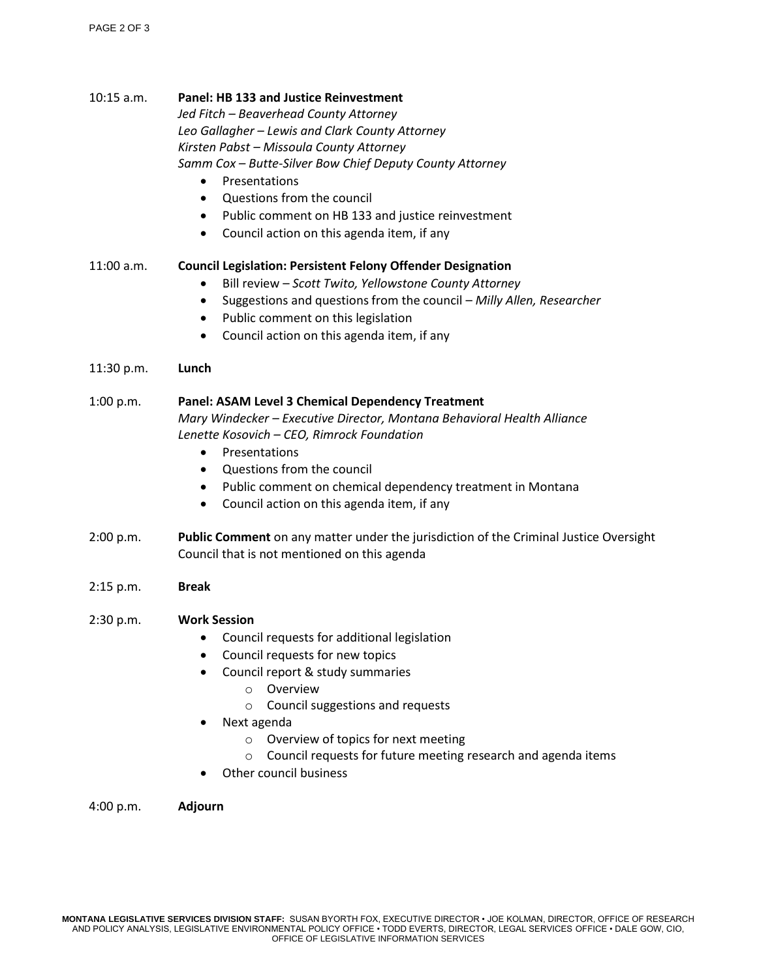#### 10:15 a.m. **Panel: HB 133 and Justice Reinvestment**

*Jed Fitch – Beaverhead County Attorney Leo Gallagher – Lewis and Clark County Attorney Kirsten Pabst – Missoula County Attorney Samm Cox – Butte-Silver Bow Chief Deputy County Attorney*

- Presentations
- Questions from the council
- Public comment on HB 133 and justice reinvestment
- Council action on this agenda item, if any

#### 11:00 a.m. **Council Legislation: Persistent Felony Offender Designation**

- Bill review *Scott Twito, Yellowstone County Attorney*
- Suggestions and questions from the council *Milly Allen, Researcher*
- Public comment on this legislation
- Council action on this agenda item, if any

#### 11:30 p.m. **Lunch**

# 1:00 p.m. **Panel: ASAM Level 3 Chemical Dependency Treatment**  *Mary Windecker – Executive Director, Montana Behavioral Health Alliance Lenette Kosovich – CEO, Rimrock Foundation*

- Presentations
- Questions from the council
- Public comment on chemical dependency treatment in Montana
- Council action on this agenda item, if any
- 2:00 p.m. **Public Comment** on any matter under the jurisdiction of the Criminal Justice Oversight Council that is not mentioned on this agenda
- 2:15 p.m. **Break**

#### 2:30 p.m. **Work Session**

- Council requests for additional legislation
- Council requests for new topics
- Council report & study summaries
	- o Overview
	- o Council suggestions and requests
- Next agenda
	- o Overview of topics for next meeting
	- o Council requests for future meeting research and agenda items
- Other council business

#### 4:00 p.m. **Adjourn**